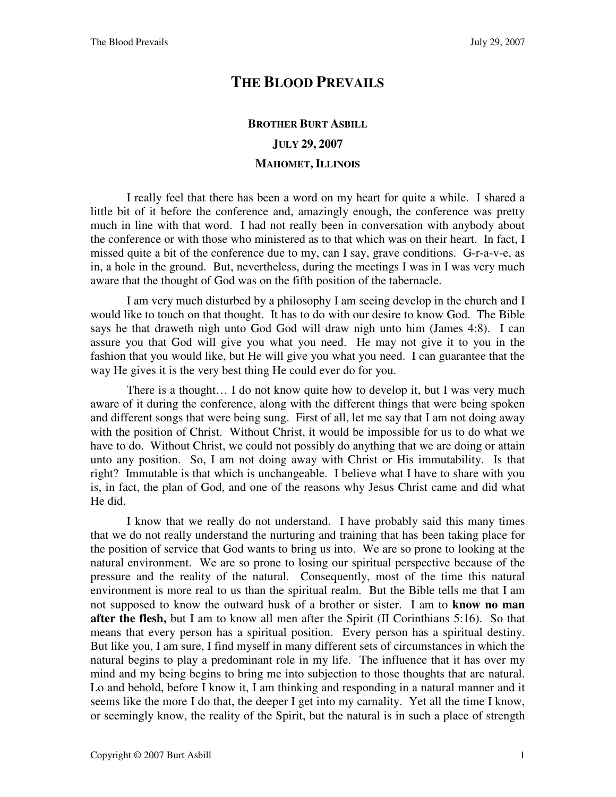## **THE BLOOD PREVAILS**

## **BROTHER BURT ASBILL JULY 29, 2007 MAHOMET, ILLINOIS**

I really feel that there has been a word on my heart for quite a while. I shared a little bit of it before the conference and, amazingly enough, the conference was pretty much in line with that word. I had not really been in conversation with anybody about the conference or with those who ministered as to that which was on their heart. In fact, I missed quite a bit of the conference due to my, can I say, grave conditions. G-r-a-v-e, as in, a hole in the ground. But, nevertheless, during the meetings I was in I was very much aware that the thought of God was on the fifth position of the tabernacle.

I am very much disturbed by a philosophy I am seeing develop in the church and I would like to touch on that thought. It has to do with our desire to know God. The Bible says he that draweth nigh unto God God will draw nigh unto him (James 4:8). I can assure you that God will give you what you need. He may not give it to you in the fashion that you would like, but He will give you what you need. I can guarantee that the way He gives it is the very best thing He could ever do for you.

There is a thought… I do not know quite how to develop it, but I was very much aware of it during the conference, along with the different things that were being spoken and different songs that were being sung. First of all, let me say that I am not doing away with the position of Christ. Without Christ, it would be impossible for us to do what we have to do. Without Christ, we could not possibly do anything that we are doing or attain unto any position. So, I am not doing away with Christ or His immutability. Is that right? Immutable is that which is unchangeable. I believe what I have to share with you is, in fact, the plan of God, and one of the reasons why Jesus Christ came and did what He did.

I know that we really do not understand. I have probably said this many times that we do not really understand the nurturing and training that has been taking place for the position of service that God wants to bring us into. We are so prone to looking at the natural environment. We are so prone to losing our spiritual perspective because of the pressure and the reality of the natural. Consequently, most of the time this natural environment is more real to us than the spiritual realm. But the Bible tells me that I am not supposed to know the outward husk of a brother or sister. I am to **know no man after the flesh,** but I am to know all men after the Spirit (II Corinthians 5:16). So that means that every person has a spiritual position. Every person has a spiritual destiny. But like you, I am sure, I find myself in many different sets of circumstances in which the natural begins to play a predominant role in my life. The influence that it has over my mind and my being begins to bring me into subjection to those thoughts that are natural. Lo and behold, before I know it, I am thinking and responding in a natural manner and it seems like the more I do that, the deeper I get into my carnality. Yet all the time I know, or seemingly know, the reality of the Spirit, but the natural is in such a place of strength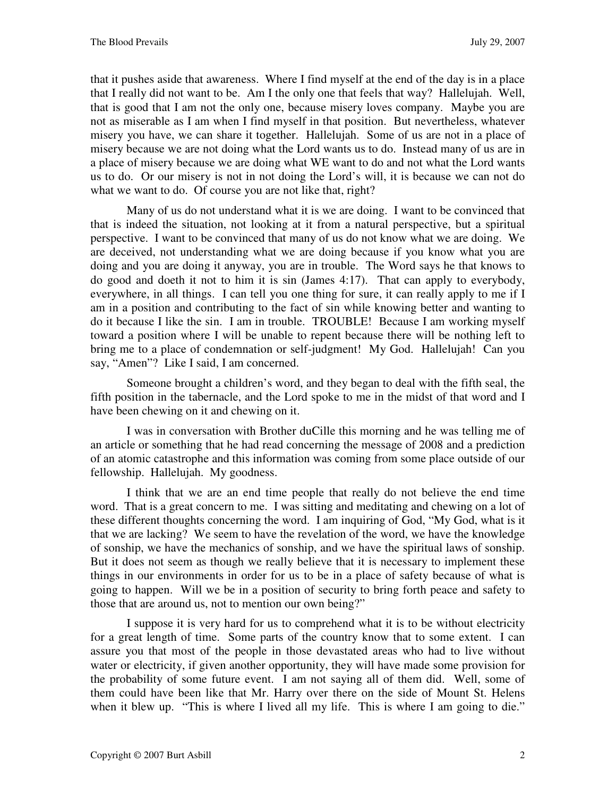that it pushes aside that awareness. Where I find myself at the end of the day is in a place that I really did not want to be. Am I the only one that feels that way? Hallelujah. Well, that is good that I am not the only one, because misery loves company. Maybe you are not as miserable as I am when I find myself in that position. But nevertheless, whatever misery you have, we can share it together. Hallelujah. Some of us are not in a place of misery because we are not doing what the Lord wants us to do. Instead many of us are in a place of misery because we are doing what WE want to do and not what the Lord wants us to do. Or our misery is not in not doing the Lord's will, it is because we can not do what we want to do. Of course you are not like that, right?

Many of us do not understand what it is we are doing. I want to be convinced that that is indeed the situation, not looking at it from a natural perspective, but a spiritual perspective. I want to be convinced that many of us do not know what we are doing. We are deceived, not understanding what we are doing because if you know what you are doing and you are doing it anyway, you are in trouble. The Word says he that knows to do good and doeth it not to him it is sin (James 4:17). That can apply to everybody, everywhere, in all things. I can tell you one thing for sure, it can really apply to me if I am in a position and contributing to the fact of sin while knowing better and wanting to do it because I like the sin. I am in trouble. TROUBLE! Because I am working myself toward a position where I will be unable to repent because there will be nothing left to bring me to a place of condemnation or self-judgment! My God. Hallelujah! Can you say, "Amen"? Like I said, I am concerned.

Someone brought a children's word, and they began to deal with the fifth seal, the fifth position in the tabernacle, and the Lord spoke to me in the midst of that word and I have been chewing on it and chewing on it.

I was in conversation with Brother duCille this morning and he was telling me of an article or something that he had read concerning the message of 2008 and a prediction of an atomic catastrophe and this information was coming from some place outside of our fellowship. Hallelujah. My goodness.

I think that we are an end time people that really do not believe the end time word. That is a great concern to me. I was sitting and meditating and chewing on a lot of these different thoughts concerning the word. I am inquiring of God, "My God, what is it that we are lacking? We seem to have the revelation of the word, we have the knowledge of sonship, we have the mechanics of sonship, and we have the spiritual laws of sonship. But it does not seem as though we really believe that it is necessary to implement these things in our environments in order for us to be in a place of safety because of what is going to happen. Will we be in a position of security to bring forth peace and safety to those that are around us, not to mention our own being?"

I suppose it is very hard for us to comprehend what it is to be without electricity for a great length of time. Some parts of the country know that to some extent. I can assure you that most of the people in those devastated areas who had to live without water or electricity, if given another opportunity, they will have made some provision for the probability of some future event. I am not saying all of them did. Well, some of them could have been like that Mr. Harry over there on the side of Mount St. Helens when it blew up. "This is where I lived all my life. This is where I am going to die."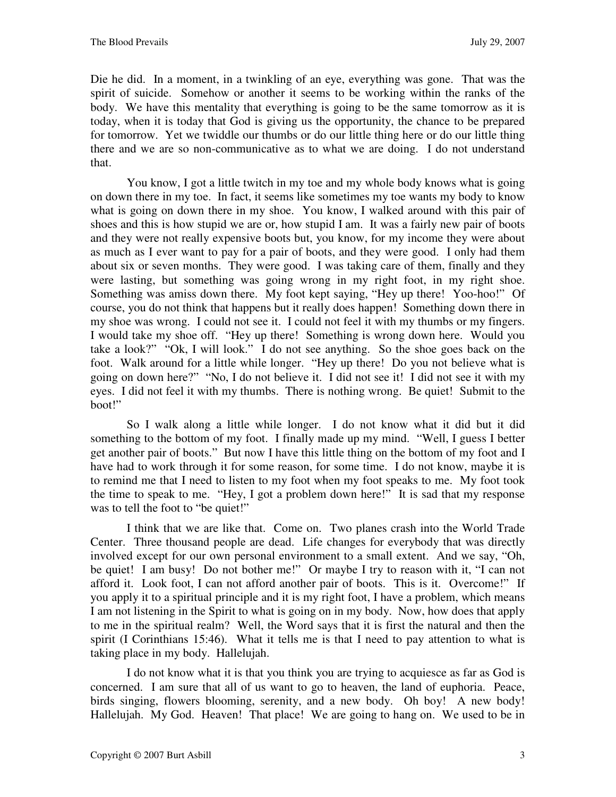Die he did. In a moment, in a twinkling of an eye, everything was gone. That was the spirit of suicide. Somehow or another it seems to be working within the ranks of the body. We have this mentality that everything is going to be the same tomorrow as it is today, when it is today that God is giving us the opportunity, the chance to be prepared for tomorrow. Yet we twiddle our thumbs or do our little thing here or do our little thing there and we are so non-communicative as to what we are doing. I do not understand that.

You know, I got a little twitch in my toe and my whole body knows what is going on down there in my toe. In fact, it seems like sometimes my toe wants my body to know what is going on down there in my shoe. You know, I walked around with this pair of shoes and this is how stupid we are or, how stupid I am. It was a fairly new pair of boots and they were not really expensive boots but, you know, for my income they were about as much as I ever want to pay for a pair of boots, and they were good. I only had them about six or seven months. They were good. I was taking care of them, finally and they were lasting, but something was going wrong in my right foot, in my right shoe. Something was amiss down there. My foot kept saying, "Hey up there! Yoo-hoo!" Of course, you do not think that happens but it really does happen! Something down there in my shoe was wrong. I could not see it. I could not feel it with my thumbs or my fingers. I would take my shoe off. "Hey up there! Something is wrong down here. Would you take a look?" "Ok, I will look." I do not see anything. So the shoe goes back on the foot. Walk around for a little while longer. "Hey up there! Do you not believe what is going on down here?" "No, I do not believe it. I did not see it! I did not see it with my eyes. I did not feel it with my thumbs. There is nothing wrong. Be quiet! Submit to the boot!"

So I walk along a little while longer. I do not know what it did but it did something to the bottom of my foot. I finally made up my mind. "Well, I guess I better get another pair of boots." But now I have this little thing on the bottom of my foot and I have had to work through it for some reason, for some time. I do not know, maybe it is to remind me that I need to listen to my foot when my foot speaks to me. My foot took the time to speak to me. "Hey, I got a problem down here!" It is sad that my response was to tell the foot to "be quiet!"

I think that we are like that. Come on. Two planes crash into the World Trade Center. Three thousand people are dead. Life changes for everybody that was directly involved except for our own personal environment to a small extent. And we say, "Oh, be quiet! I am busy! Do not bother me!" Or maybe I try to reason with it, "I can not afford it. Look foot, I can not afford another pair of boots. This is it. Overcome!" If you apply it to a spiritual principle and it is my right foot, I have a problem, which means I am not listening in the Spirit to what is going on in my body. Now, how does that apply to me in the spiritual realm? Well, the Word says that it is first the natural and then the spirit (I Corinthians 15:46). What it tells me is that I need to pay attention to what is taking place in my body. Hallelujah.

I do not know what it is that you think you are trying to acquiesce as far as God is concerned. I am sure that all of us want to go to heaven, the land of euphoria. Peace, birds singing, flowers blooming, serenity, and a new body. Oh boy! A new body! Hallelujah. My God. Heaven! That place! We are going to hang on. We used to be in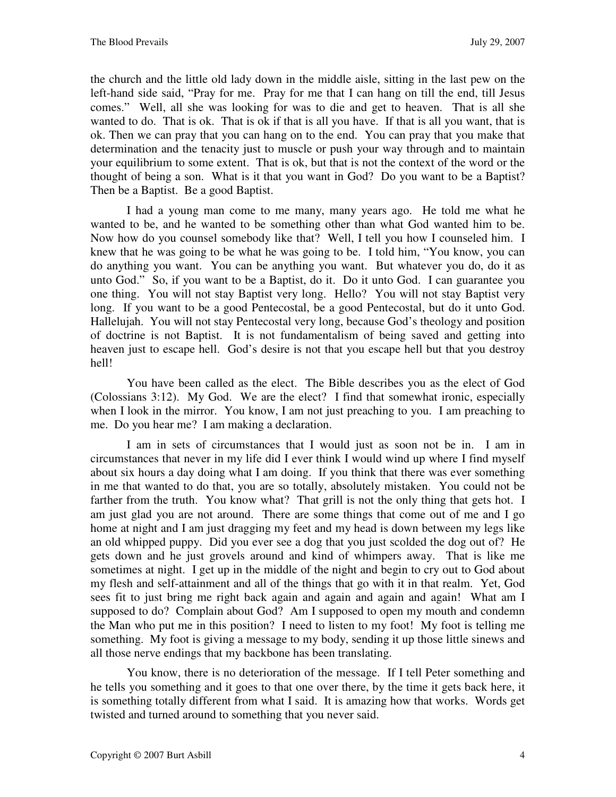the church and the little old lady down in the middle aisle, sitting in the last pew on the left-hand side said, "Pray for me. Pray for me that I can hang on till the end, till Jesus comes." Well, all she was looking for was to die and get to heaven. That is all she wanted to do. That is ok. That is ok if that is all you have. If that is all you want, that is ok. Then we can pray that you can hang on to the end. You can pray that you make that determination and the tenacity just to muscle or push your way through and to maintain your equilibrium to some extent. That is ok, but that is not the context of the word or the thought of being a son. What is it that you want in God? Do you want to be a Baptist? Then be a Baptist. Be a good Baptist.

I had a young man come to me many, many years ago. He told me what he wanted to be, and he wanted to be something other than what God wanted him to be. Now how do you counsel somebody like that? Well, I tell you how I counseled him. I knew that he was going to be what he was going to be. I told him, "You know, you can do anything you want. You can be anything you want. But whatever you do, do it as unto God." So, if you want to be a Baptist, do it. Do it unto God. I can guarantee you one thing. You will not stay Baptist very long. Hello? You will not stay Baptist very long. If you want to be a good Pentecostal, be a good Pentecostal, but do it unto God. Hallelujah. You will not stay Pentecostal very long, because God's theology and position of doctrine is not Baptist. It is not fundamentalism of being saved and getting into heaven just to escape hell. God's desire is not that you escape hell but that you destroy hell!

You have been called as the elect. The Bible describes you as the elect of God (Colossians 3:12). My God. We are the elect? I find that somewhat ironic, especially when I look in the mirror. You know, I am not just preaching to you. I am preaching to me. Do you hear me? I am making a declaration.

I am in sets of circumstances that I would just as soon not be in. I am in circumstances that never in my life did I ever think I would wind up where I find myself about six hours a day doing what I am doing. If you think that there was ever something in me that wanted to do that, you are so totally, absolutely mistaken. You could not be farther from the truth. You know what? That grill is not the only thing that gets hot. I am just glad you are not around. There are some things that come out of me and I go home at night and I am just dragging my feet and my head is down between my legs like an old whipped puppy. Did you ever see a dog that you just scolded the dog out of? He gets down and he just grovels around and kind of whimpers away. That is like me sometimes at night. I get up in the middle of the night and begin to cry out to God about my flesh and self-attainment and all of the things that go with it in that realm. Yet, God sees fit to just bring me right back again and again and again and again! What am I supposed to do? Complain about God? Am I supposed to open my mouth and condemn the Man who put me in this position? I need to listen to my foot! My foot is telling me something. My foot is giving a message to my body, sending it up those little sinews and all those nerve endings that my backbone has been translating.

You know, there is no deterioration of the message. If I tell Peter something and he tells you something and it goes to that one over there, by the time it gets back here, it is something totally different from what I said. It is amazing how that works. Words get twisted and turned around to something that you never said.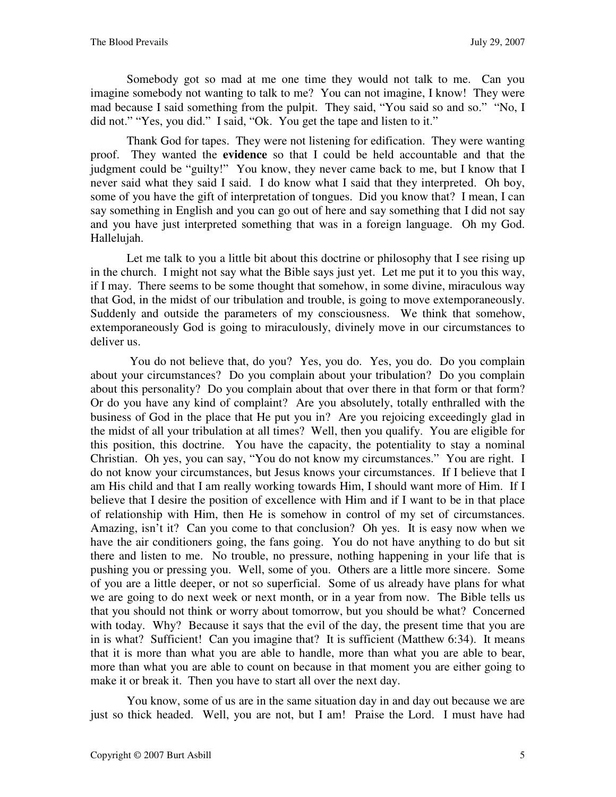Somebody got so mad at me one time they would not talk to me. Can you imagine somebody not wanting to talk to me? You can not imagine, I know! They were mad because I said something from the pulpit. They said, "You said so and so." "No, I did not." "Yes, you did." I said, "Ok. You get the tape and listen to it."

Thank God for tapes. They were not listening for edification. They were wanting proof. They wanted the **evidence** so that I could be held accountable and that the judgment could be "guilty!" You know, they never came back to me, but I know that I never said what they said I said. I do know what I said that they interpreted. Oh boy, some of you have the gift of interpretation of tongues. Did you know that? I mean, I can say something in English and you can go out of here and say something that I did not say and you have just interpreted something that was in a foreign language. Oh my God. Hallelujah.

Let me talk to you a little bit about this doctrine or philosophy that I see rising up in the church. I might not say what the Bible says just yet. Let me put it to you this way, if I may. There seems to be some thought that somehow, in some divine, miraculous way that God, in the midst of our tribulation and trouble, is going to move extemporaneously. Suddenly and outside the parameters of my consciousness. We think that somehow, extemporaneously God is going to miraculously, divinely move in our circumstances to deliver us.

 You do not believe that, do you? Yes, you do. Yes, you do. Do you complain about your circumstances? Do you complain about your tribulation? Do you complain about this personality? Do you complain about that over there in that form or that form? Or do you have any kind of complaint? Are you absolutely, totally enthralled with the business of God in the place that He put you in? Are you rejoicing exceedingly glad in the midst of all your tribulation at all times? Well, then you qualify. You are eligible for this position, this doctrine. You have the capacity, the potentiality to stay a nominal Christian. Oh yes, you can say, "You do not know my circumstances." You are right. I do not know your circumstances, but Jesus knows your circumstances. If I believe that I am His child and that I am really working towards Him, I should want more of Him. If I believe that I desire the position of excellence with Him and if I want to be in that place of relationship with Him, then He is somehow in control of my set of circumstances. Amazing, isn't it? Can you come to that conclusion? Oh yes. It is easy now when we have the air conditioners going, the fans going. You do not have anything to do but sit there and listen to me. No trouble, no pressure, nothing happening in your life that is pushing you or pressing you. Well, some of you. Others are a little more sincere. Some of you are a little deeper, or not so superficial. Some of us already have plans for what we are going to do next week or next month, or in a year from now. The Bible tells us that you should not think or worry about tomorrow, but you should be what? Concerned with today. Why? Because it says that the evil of the day, the present time that you are in is what? Sufficient! Can you imagine that? It is sufficient (Matthew 6:34). It means that it is more than what you are able to handle, more than what you are able to bear, more than what you are able to count on because in that moment you are either going to make it or break it. Then you have to start all over the next day.

You know, some of us are in the same situation day in and day out because we are just so thick headed. Well, you are not, but I am! Praise the Lord. I must have had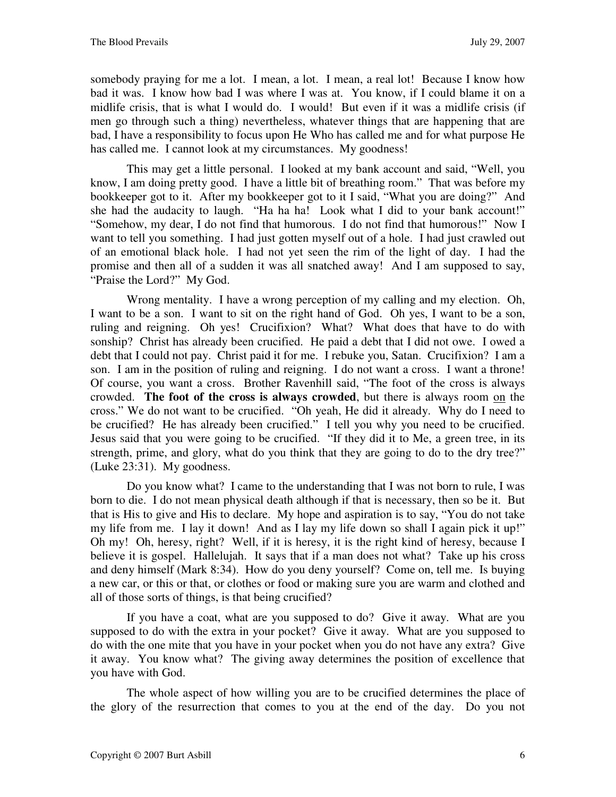somebody praying for me a lot. I mean, a lot. I mean, a real lot! Because I know how bad it was. I know how bad I was where I was at. You know, if I could blame it on a midlife crisis, that is what I would do. I would! But even if it was a midlife crisis (if men go through such a thing) nevertheless, whatever things that are happening that are bad, I have a responsibility to focus upon He Who has called me and for what purpose He has called me. I cannot look at my circumstances. My goodness!

This may get a little personal. I looked at my bank account and said, "Well, you know, I am doing pretty good. I have a little bit of breathing room." That was before my bookkeeper got to it. After my bookkeeper got to it I said, "What you are doing?" And she had the audacity to laugh. "Ha ha ha! Look what I did to your bank account!" "Somehow, my dear, I do not find that humorous. I do not find that humorous!" Now I want to tell you something. I had just gotten myself out of a hole. I had just crawled out of an emotional black hole. I had not yet seen the rim of the light of day. I had the promise and then all of a sudden it was all snatched away! And I am supposed to say, "Praise the Lord?" My God.

Wrong mentality. I have a wrong perception of my calling and my election. Oh, I want to be a son. I want to sit on the right hand of God. Oh yes, I want to be a son, ruling and reigning. Oh yes! Crucifixion? What? What does that have to do with sonship? Christ has already been crucified. He paid a debt that I did not owe. I owed a debt that I could not pay. Christ paid it for me. I rebuke you, Satan. Crucifixion? I am a son. I am in the position of ruling and reigning. I do not want a cross. I want a throne! Of course, you want a cross. Brother Ravenhill said, "The foot of the cross is always crowded. **The foot of the cross is always crowded**, but there is always room on the cross." We do not want to be crucified. "Oh yeah, He did it already. Why do I need to be crucified? He has already been crucified." I tell you why you need to be crucified. Jesus said that you were going to be crucified. "If they did it to Me, a green tree, in its strength, prime, and glory, what do you think that they are going to do to the dry tree?" (Luke 23:31). My goodness.

Do you know what? I came to the understanding that I was not born to rule, I was born to die. I do not mean physical death although if that is necessary, then so be it. But that is His to give and His to declare. My hope and aspiration is to say, "You do not take my life from me. I lay it down! And as I lay my life down so shall I again pick it up!" Oh my! Oh, heresy, right? Well, if it is heresy, it is the right kind of heresy, because I believe it is gospel. Hallelujah. It says that if a man does not what? Take up his cross and deny himself (Mark 8:34). How do you deny yourself? Come on, tell me. Is buying a new car, or this or that, or clothes or food or making sure you are warm and clothed and all of those sorts of things, is that being crucified?

If you have a coat, what are you supposed to do? Give it away. What are you supposed to do with the extra in your pocket? Give it away. What are you supposed to do with the one mite that you have in your pocket when you do not have any extra? Give it away. You know what? The giving away determines the position of excellence that you have with God.

The whole aspect of how willing you are to be crucified determines the place of the glory of the resurrection that comes to you at the end of the day. Do you not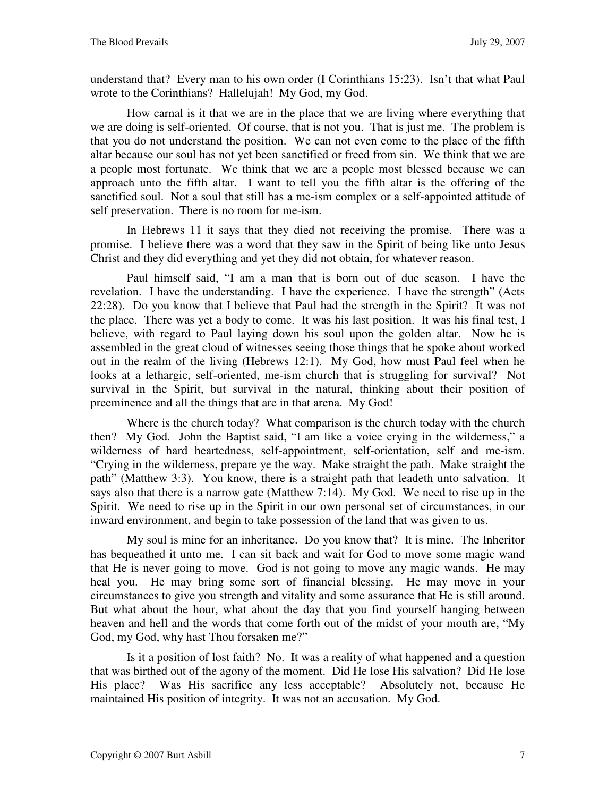understand that? Every man to his own order (I Corinthians 15:23). Isn't that what Paul wrote to the Corinthians? Hallelujah! My God, my God.

How carnal is it that we are in the place that we are living where everything that we are doing is self-oriented. Of course, that is not you. That is just me. The problem is that you do not understand the position. We can not even come to the place of the fifth altar because our soul has not yet been sanctified or freed from sin. We think that we are a people most fortunate. We think that we are a people most blessed because we can approach unto the fifth altar. I want to tell you the fifth altar is the offering of the sanctified soul. Not a soul that still has a me-ism complex or a self-appointed attitude of self preservation. There is no room for me-ism.

In Hebrews 11 it says that they died not receiving the promise. There was a promise. I believe there was a word that they saw in the Spirit of being like unto Jesus Christ and they did everything and yet they did not obtain, for whatever reason.

Paul himself said, "I am a man that is born out of due season. I have the revelation. I have the understanding. I have the experience. I have the strength" (Acts 22:28). Do you know that I believe that Paul had the strength in the Spirit? It was not the place. There was yet a body to come. It was his last position. It was his final test, I believe, with regard to Paul laying down his soul upon the golden altar. Now he is assembled in the great cloud of witnesses seeing those things that he spoke about worked out in the realm of the living (Hebrews 12:1). My God, how must Paul feel when he looks at a lethargic, self-oriented, me-ism church that is struggling for survival? Not survival in the Spirit, but survival in the natural, thinking about their position of preeminence and all the things that are in that arena. My God!

Where is the church today? What comparison is the church today with the church then? My God. John the Baptist said, "I am like a voice crying in the wilderness," a wilderness of hard heartedness, self-appointment, self-orientation, self and me-ism. "Crying in the wilderness, prepare ye the way. Make straight the path. Make straight the path" (Matthew 3:3). You know, there is a straight path that leadeth unto salvation. It says also that there is a narrow gate (Matthew 7:14). My God. We need to rise up in the Spirit. We need to rise up in the Spirit in our own personal set of circumstances, in our inward environment, and begin to take possession of the land that was given to us.

My soul is mine for an inheritance. Do you know that? It is mine. The Inheritor has bequeathed it unto me. I can sit back and wait for God to move some magic wand that He is never going to move. God is not going to move any magic wands. He may heal you. He may bring some sort of financial blessing. He may move in your circumstances to give you strength and vitality and some assurance that He is still around. But what about the hour, what about the day that you find yourself hanging between heaven and hell and the words that come forth out of the midst of your mouth are, "My God, my God, why hast Thou forsaken me?"

Is it a position of lost faith? No. It was a reality of what happened and a question that was birthed out of the agony of the moment. Did He lose His salvation? Did He lose His place? Was His sacrifice any less acceptable? Absolutely not, because He maintained His position of integrity. It was not an accusation. My God.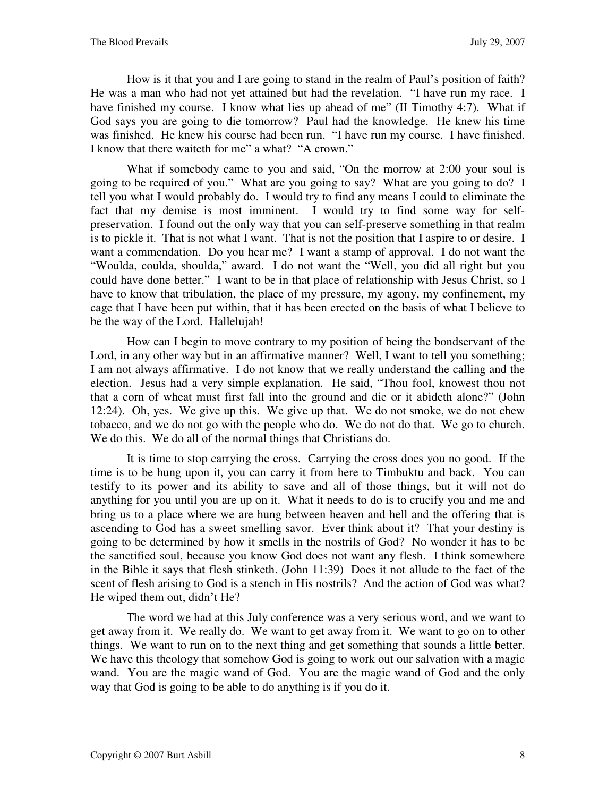How is it that you and I are going to stand in the realm of Paul's position of faith? He was a man who had not yet attained but had the revelation. "I have run my race. I have finished my course. I know what lies up ahead of me" (II Timothy 4:7). What if God says you are going to die tomorrow? Paul had the knowledge. He knew his time was finished. He knew his course had been run. "I have run my course. I have finished. I know that there waiteth for me" a what? "A crown."

What if somebody came to you and said, "On the morrow at 2:00 your soul is going to be required of you." What are you going to say? What are you going to do? I tell you what I would probably do. I would try to find any means I could to eliminate the fact that my demise is most imminent. I would try to find some way for selfpreservation. I found out the only way that you can self-preserve something in that realm is to pickle it. That is not what I want. That is not the position that I aspire to or desire. I want a commendation. Do you hear me? I want a stamp of approval. I do not want the "Woulda, coulda, shoulda," award. I do not want the "Well, you did all right but you could have done better." I want to be in that place of relationship with Jesus Christ, so I have to know that tribulation, the place of my pressure, my agony, my confinement, my cage that I have been put within, that it has been erected on the basis of what I believe to be the way of the Lord. Hallelujah!

How can I begin to move contrary to my position of being the bondservant of the Lord, in any other way but in an affirmative manner? Well, I want to tell you something; I am not always affirmative. I do not know that we really understand the calling and the election. Jesus had a very simple explanation. He said, "Thou fool, knowest thou not that a corn of wheat must first fall into the ground and die or it abideth alone?" (John 12:24). Oh, yes. We give up this. We give up that. We do not smoke, we do not chew tobacco, and we do not go with the people who do. We do not do that. We go to church. We do this. We do all of the normal things that Christians do.

It is time to stop carrying the cross. Carrying the cross does you no good. If the time is to be hung upon it, you can carry it from here to Timbuktu and back. You can testify to its power and its ability to save and all of those things, but it will not do anything for you until you are up on it. What it needs to do is to crucify you and me and bring us to a place where we are hung between heaven and hell and the offering that is ascending to God has a sweet smelling savor. Ever think about it? That your destiny is going to be determined by how it smells in the nostrils of God? No wonder it has to be the sanctified soul, because you know God does not want any flesh. I think somewhere in the Bible it says that flesh stinketh. (John 11:39) Does it not allude to the fact of the scent of flesh arising to God is a stench in His nostrils? And the action of God was what? He wiped them out, didn't He?

The word we had at this July conference was a very serious word, and we want to get away from it. We really do. We want to get away from it. We want to go on to other things. We want to run on to the next thing and get something that sounds a little better. We have this theology that somehow God is going to work out our salvation with a magic wand. You are the magic wand of God. You are the magic wand of God and the only way that God is going to be able to do anything is if you do it.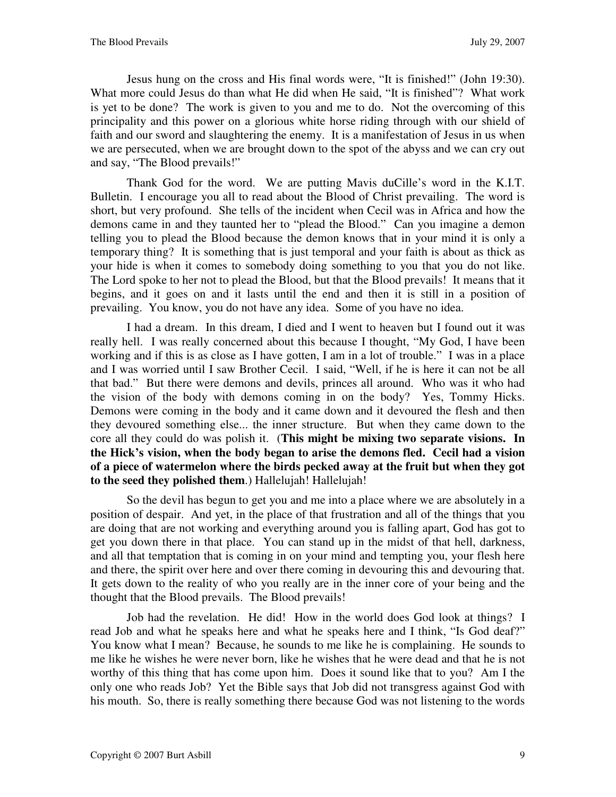Jesus hung on the cross and His final words were, "It is finished!" (John 19:30). What more could Jesus do than what He did when He said, "It is finished"? What work is yet to be done? The work is given to you and me to do. Not the overcoming of this principality and this power on a glorious white horse riding through with our shield of faith and our sword and slaughtering the enemy. It is a manifestation of Jesus in us when we are persecuted, when we are brought down to the spot of the abyss and we can cry out and say, "The Blood prevails!"

Thank God for the word. We are putting Mavis duCille's word in the K.I.T. Bulletin. I encourage you all to read about the Blood of Christ prevailing. The word is short, but very profound. She tells of the incident when Cecil was in Africa and how the demons came in and they taunted her to "plead the Blood." Can you imagine a demon telling you to plead the Blood because the demon knows that in your mind it is only a temporary thing? It is something that is just temporal and your faith is about as thick as your hide is when it comes to somebody doing something to you that you do not like. The Lord spoke to her not to plead the Blood, but that the Blood prevails! It means that it begins, and it goes on and it lasts until the end and then it is still in a position of prevailing. You know, you do not have any idea. Some of you have no idea.

I had a dream. In this dream, I died and I went to heaven but I found out it was really hell. I was really concerned about this because I thought, "My God, I have been working and if this is as close as I have gotten, I am in a lot of trouble." I was in a place and I was worried until I saw Brother Cecil. I said, "Well, if he is here it can not be all that bad." But there were demons and devils, princes all around. Who was it who had the vision of the body with demons coming in on the body? Yes, Tommy Hicks. Demons were coming in the body and it came down and it devoured the flesh and then they devoured something else... the inner structure. But when they came down to the core all they could do was polish it. (**This might be mixing two separate visions. In the Hick's vision, when the body began to arise the demons fled. Cecil had a vision of a piece of watermelon where the birds pecked away at the fruit but when they got to the seed they polished them**.) Hallelujah! Hallelujah!

So the devil has begun to get you and me into a place where we are absolutely in a position of despair. And yet, in the place of that frustration and all of the things that you are doing that are not working and everything around you is falling apart, God has got to get you down there in that place. You can stand up in the midst of that hell, darkness, and all that temptation that is coming in on your mind and tempting you, your flesh here and there, the spirit over here and over there coming in devouring this and devouring that. It gets down to the reality of who you really are in the inner core of your being and the thought that the Blood prevails. The Blood prevails!

Job had the revelation. He did! How in the world does God look at things? I read Job and what he speaks here and what he speaks here and I think, "Is God deaf?" You know what I mean? Because, he sounds to me like he is complaining. He sounds to me like he wishes he were never born, like he wishes that he were dead and that he is not worthy of this thing that has come upon him. Does it sound like that to you? Am I the only one who reads Job? Yet the Bible says that Job did not transgress against God with his mouth. So, there is really something there because God was not listening to the words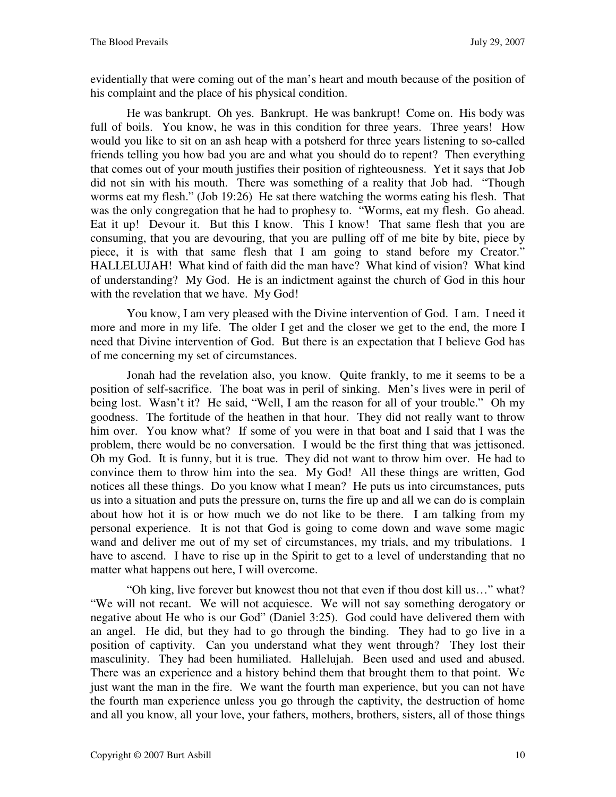evidentially that were coming out of the man's heart and mouth because of the position of his complaint and the place of his physical condition.

He was bankrupt. Oh yes. Bankrupt. He was bankrupt! Come on. His body was full of boils. You know, he was in this condition for three years. Three years! How would you like to sit on an ash heap with a potsherd for three years listening to so-called friends telling you how bad you are and what you should do to repent? Then everything that comes out of your mouth justifies their position of righteousness. Yet it says that Job did not sin with his mouth. There was something of a reality that Job had. "Though worms eat my flesh." (Job 19:26) He sat there watching the worms eating his flesh. That was the only congregation that he had to prophesy to. "Worms, eat my flesh. Go ahead. Eat it up! Devour it. But this I know. This I know! That same flesh that you are consuming, that you are devouring, that you are pulling off of me bite by bite, piece by piece, it is with that same flesh that I am going to stand before my Creator." HALLELUJAH! What kind of faith did the man have? What kind of vision? What kind of understanding? My God. He is an indictment against the church of God in this hour with the revelation that we have. My God!

You know, I am very pleased with the Divine intervention of God. I am. I need it more and more in my life. The older I get and the closer we get to the end, the more I need that Divine intervention of God. But there is an expectation that I believe God has of me concerning my set of circumstances.

Jonah had the revelation also, you know. Quite frankly, to me it seems to be a position of self-sacrifice. The boat was in peril of sinking. Men's lives were in peril of being lost. Wasn't it? He said, "Well, I am the reason for all of your trouble." Oh my goodness. The fortitude of the heathen in that hour. They did not really want to throw him over. You know what? If some of you were in that boat and I said that I was the problem, there would be no conversation. I would be the first thing that was jettisoned. Oh my God. It is funny, but it is true. They did not want to throw him over. He had to convince them to throw him into the sea. My God! All these things are written, God notices all these things. Do you know what I mean? He puts us into circumstances, puts us into a situation and puts the pressure on, turns the fire up and all we can do is complain about how hot it is or how much we do not like to be there. I am talking from my personal experience. It is not that God is going to come down and wave some magic wand and deliver me out of my set of circumstances, my trials, and my tribulations. I have to ascend. I have to rise up in the Spirit to get to a level of understanding that no matter what happens out here, I will overcome.

"Oh king, live forever but knowest thou not that even if thou dost kill us…" what? "We will not recant. We will not acquiesce. We will not say something derogatory or negative about He who is our God" (Daniel 3:25). God could have delivered them with an angel. He did, but they had to go through the binding. They had to go live in a position of captivity. Can you understand what they went through? They lost their masculinity. They had been humiliated. Hallelujah. Been used and used and abused. There was an experience and a history behind them that brought them to that point. We just want the man in the fire. We want the fourth man experience, but you can not have the fourth man experience unless you go through the captivity, the destruction of home and all you know, all your love, your fathers, mothers, brothers, sisters, all of those things